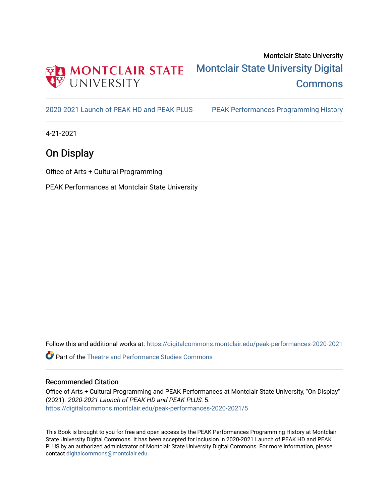

# Montclair State University [Montclair State University Digital](https://digitalcommons.montclair.edu/)  **Commons**

[2020-2021 Launch of PEAK HD and PEAK PLUS](https://digitalcommons.montclair.edu/peak-performances-2020-2021) [PEAK Performances Programming History](https://digitalcommons.montclair.edu/peak-performances-programming-history) 

4-21-2021

## On Display

Office of Arts + Cultural Programming

PEAK Performances at Montclair State University

Follow this and additional works at: [https://digitalcommons.montclair.edu/peak-performances-2020-2021](https://digitalcommons.montclair.edu/peak-performances-2020-2021?utm_source=digitalcommons.montclair.edu%2Fpeak-performances-2020-2021%2F5&utm_medium=PDF&utm_campaign=PDFCoverPages) 

Part of the [Theatre and Performance Studies Commons](http://network.bepress.com/hgg/discipline/552?utm_source=digitalcommons.montclair.edu%2Fpeak-performances-2020-2021%2F5&utm_medium=PDF&utm_campaign=PDFCoverPages) 

#### Recommended Citation

Office of Arts + Cultural Programming and PEAK Performances at Montclair State University, "On Display" (2021). 2020-2021 Launch of PEAK HD and PEAK PLUS. 5. [https://digitalcommons.montclair.edu/peak-performances-2020-2021/5](https://digitalcommons.montclair.edu/peak-performances-2020-2021/5?utm_source=digitalcommons.montclair.edu%2Fpeak-performances-2020-2021%2F5&utm_medium=PDF&utm_campaign=PDFCoverPages) 

This Book is brought to you for free and open access by the PEAK Performances Programming History at Montclair State University Digital Commons. It has been accepted for inclusion in 2020-2021 Launch of PEAK HD and PEAK PLUS by an authorized administrator of Montclair State University Digital Commons. For more information, please contact [digitalcommons@montclair.edu](mailto:digitalcommons@montclair.edu).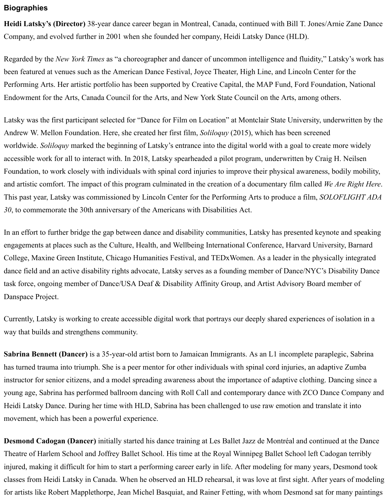### **[Biographies](https://www.peakperfs.org/event/heidi-latsky-on-display/#)**

**Heidi Latsky's (Director)** 38-year dance career began in Montreal, Canada, continued with Bill T. Jones/Arnie Zane Dance Company, and evolved further in 2001 when she founded her company, Heidi Latsky Dance (HLD).

Regarded by the *New York Times* as "a choreographer and dancer of uncommon intelligence and fluidity," Latsky's work has been featured at venues such as the American Dance Festival, Joyce Theater, High Line, and Lincoln Center for the Performing Arts. Her artistic portfolio has been supported by Creative Capital, the MAP Fund, Ford Foundation, National Endowment for the Arts, Canada Council for the Arts, and New York State Council on the Arts, among others.

Latsky was the first participant selected for "Dance for Film on Location" at Montclair State University, underwritten by the Andrew W. Mellon Foundation. Here, she created her first film, *Soliloquy* (2015), which has been screened worldwide. *Soliloquy* marked the beginning of Latsky's entrance into the digital world with a goal to create more widely accessible work for all to interact with. In 2018, Latsky spearheaded a pilot program, underwritten by Craig H. Neilsen Foundation, to work closely with individuals with spinal cord injuries to improve their physical awareness, bodily mobility, and artistic comfort. The impact of this program culminated in the creation of a documentary film called *We Are Right Here*. This past year, Latsky was commissioned by Lincoln Center for the Performing Arts to produce a film, *SOLOFLIGHT ADA 30*, to commemorate the 30th anniversary of the Americans with Disabilities Act.

In an effort to further bridge the gap between dance and disability communities, Latsky has presented keynote and speaking engagements at places such as the Culture, Health, and Wellbeing International Conference, Harvard University, Barnard College, Maxine Green Institute, Chicago Humanities Festival, and TEDxWomen. As a leader in the physically integrated dance field and an active disability rights advocate, Latsky serves as a founding member of Dance/NYC's Disability Dance task force, ongoing member of Dance/USA Deaf & Disability Affinity Group, and Artist Advisory Board member of Danspace Project.

Currently, Latsky is working to create accessible digital work that portrays our deeply shared experiences of isolation in a way that builds and strengthens community.

**Sabrina Bennett (Dancer)** is a 35-year-old artist born to Jamaican Immigrants. As an L1 incomplete paraplegic, Sabrina has turned trauma into triumph. She is a peer mentor for other individuals with spinal cord injuries, an adaptive Zumba instructor for senior citizens, and a model spreading awareness about the importance of adaptive clothing. Dancing since a young age, Sabrina has performed ballroom dancing with Roll Call and contemporary dance with ZCO Dance Company and Heidi Latsky Dance. During her time with HLD, Sabrina has been challenged to use raw emotion and translate it into movement, which has been a powerful experience.

**Desmond Cadogan (Dancer)** initially started his dance training at Les Ballet Jazz de Montréal and continued at the Dance Theatre of Harlem School and Joffrey Ballet School. His time at the Royal Winnipeg Ballet School left Cadogan terribly injured, making it difficult for him to start a performing career early in life. After modeling for many years, Desmond took classes from Heidi Latsky in Canada. When he observed an HLD rehearsal, it was love at first sight. After years of modeling for artists like Robert Mapplethorpe, Jean Michel Basquiat, and Rainer Fetting, with whom Desmond sat for many paintings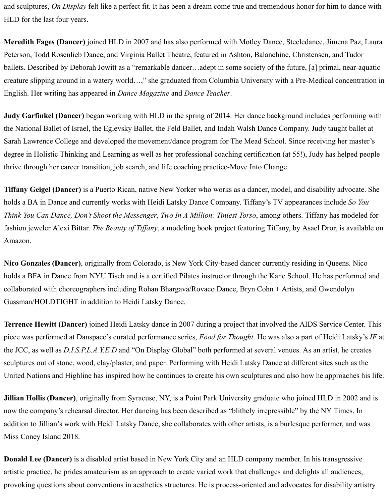and sculptures, *On Display* felt like a perfect fit. It has been a dream come true and tremendous honor for him to dance with HLD for the last four years.

**Meredith Fages (Dancer)** joined HLD in 2007 and has also performed with Motley Dance, Steeledance, Jimena Paz, Laura Peterson, Todd Rosenlieb Dance, and Virginia Ballet Theatre, featured in Ashton, Balanchine, Christensen, and Tudor ballets. Described by Deborah Jowitt as a "remarkable dancer…adept in some society of the future, [a] primal, near-aquatic creature slipping around in a watery world…," she graduated from Columbia University with a Pre-Medical concentration in English. Her writing has appeared in *Dance Magazine* and *Dance Teacher*.

**Judy Garfinkel (Dancer)** began working with HLD in the spring of 2014. Her dance background includes performing with the National Ballet of Israel, the Eglevsky Ballet, the Feld Ballet, and Indah Walsh Dance Company. Judy taught ballet at Sarah Lawrence College and developed the movement/dance program for The Mead School. Since receiving her master's degree in Holistic Thinking and Learning as well as her professional coaching certification (at 55!), Judy has helped people thrive through her career transition, job search, and life coaching practice-Move Into Change.

**Tiffany Geigel (Dancer)** is a Puerto Rican, native New Yorker who works as a dancer, model, and disability advocate. She holds a BA in Dance and currently works with Heidi Latsky Dance Company. Tiffany's TV appearances include *So You Think You Can Dance, Don't Shoot the Messenger*, *Two In A Million: Tiniest Torso*, among others. Tiffany has modeled for fashion jeweler Alexi Bittar. *The Beauty of Tiffany*, a modeling book project featuring Tiffany, by Asael Dror, is available on Amazon.

**Nico Gonzales (Dancer)**, originally from Colorado, is New York City-based dancer currently residing in Queens. Nico holds a BFA in Dance from NYU Tisch and is a certified Pilates instructor through the Kane School. He has performed and collaborated with choreographers including Rohan Bhargava/Rovaco Dance, Bryn Cohn + Artists, and Gwendolyn Gussman/HOLDTIGHT in addition to Heidi Latsky Dance.

**Terrence Hewitt (Dancer)** joined Heidi Latsky dance in 2007 during a project that involved the AIDS Service Center. This piece was performed at Danspace's curated performance series, *Food for Thought*. He was also a part of Heidi Latsky's *IF* at the JCC, as well as *D.I.S.P.L.A.Y.E.D* and "On Display Global" both performed at several venues. As an artist, he creates sculptures out of stone, wood, clay/plaster, and paper. Performing with Heidi Latsky Dance at different sites such as the United Nations and Highline has inspired how he continues to create his own sculptures and also how he approaches his life.

**Jillian Hollis (Dancer)**, originally from Syracuse, NY, is a Point Park University graduate who joined HLD in 2002 and is now the company's rehearsal director. Her dancing has been described as "blithely irrepressible" by the NY Times. In addition to Jillian's work with Heidi Latsky Dance, she collaborates with other artists, is a burlesque performer, and was Miss Coney Island 2018.

**Donald Lee (Dancer)** is a disabled artist based in New York City and an HLD company member. In his transgressive artistic practice, he prides amateurism as an approach to create varied work that challenges and delights all audiences, provoking questions about conventions in aesthetics structures. He is process-oriented and advocates for disability artistry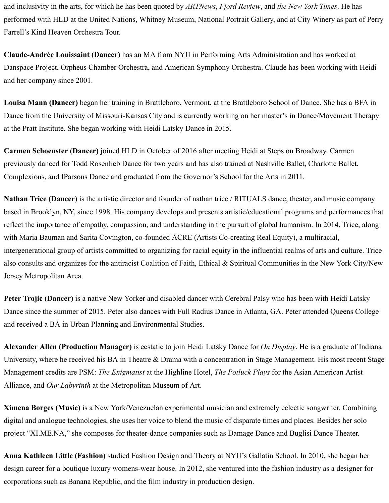and inclusivity in the arts, for which he has been quoted by *ARTNews*, *Fjord Review*, and *the New York Times*. He has performed with HLD at the United Nations, Whitney Museum, National Portrait Gallery, and at City Winery as part of Perry Farrell's Kind Heaven Orchestra Tour.

**Claude-Andrée Louissaint (Dancer)** has an MA from NYU in Performing Arts Administration and has worked at Danspace Project, Orpheus Chamber Orchestra, and American Symphony Orchestra. Claude has been working with Heidi and her company since 2001.

**Louisa Mann (Dancer)** began her training in Brattleboro, Vermont, at the Brattleboro School of Dance. She has a BFA in Dance from the University of Missouri-Kansas City and is currently working on her master's in Dance/Movement Therapy at the Pratt Institute. She began working with Heidi Latsky Dance in 2015.

**Carmen Schoenster (Dancer)** joined HLD in October of 2016 after meeting Heidi at Steps on Broadway. Carmen previously danced for Todd Rosenlieb Dance for two years and has also trained at Nashville Ballet, Charlotte Ballet, Complexions, and fParsons Dance and graduated from the Governor's School for the Arts in 2011.

**Nathan Trice (Dancer)** is the artistic director and founder of nathan trice / RITUALS dance, theater, and music company based in Brooklyn, NY, since 1998. His company develops and presents artistic/educational programs and performances that reflect the importance of empathy, compassion, and understanding in the pursuit of global humanism. In 2014, Trice, along with Maria Bauman and Sarita Covington, co-founded ACRE (Artists Co-creating Real Equity), a multiracial, intergenerational group of artists committed to organizing for racial equity in the influential realms of arts and culture. Trice also consults and organizes for the antiracist Coalition of Faith, Ethical & Spiritual Communities in the New York City/New Jersey Metropolitan Area.

**Peter Trojic (Dancer)** is a native New Yorker and disabled dancer with Cerebral Palsy who has been with Heidi Latsky Dance since the summer of 2015. Peter also dances with Full Radius Dance in Atlanta, GA. Peter attended Queens College and received a BA in Urban Planning and Environmental Studies.

**Alexander Allen (Production Manager)** is ecstatic to join Heidi Latsky Dance for *On Display*. He is a graduate of Indiana University, where he received his BA in Theatre & Drama with a concentration in Stage Management. His most recent Stage Management credits are PSM: *The Enigmatist* at the Highline Hotel, *The Potluck Plays* for the Asian American Artist Alliance, and *Our Labyrinth* at the Metropolitan Museum of Art.

**Ximena Borges (Music)** is a New York/Venezuelan experimental musician and extremely eclectic songwriter. Combining digital and analogue technologies, she uses her voice to blend the music of disparate times and places. Besides her solo project "XI.ME.NA," she composes for theater-dance companies such as Damage Dance and Buglisi Dance Theater.

**Anna Kathleen Little (Fashion)** studied Fashion Design and Theory at NYU's Gallatin School. In 2010, she began her design career for a boutique luxury womens-wear house. In 2012, she ventured into the fashion industry as a designer for corporations such as Banana Republic, and the film industry in production design.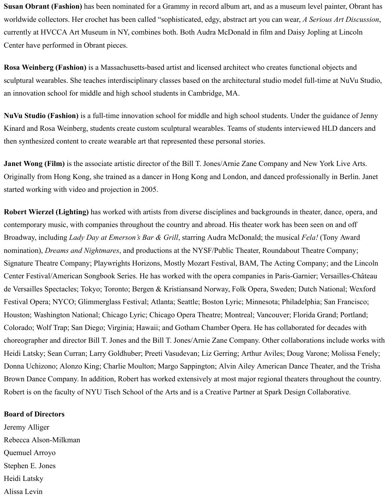**Susan Obrant (Fashion)** has been nominated for a Grammy in record album art, and as a museum level painter, Obrant has worldwide collectors. Her crochet has been called "sophisticated, edgy, abstract art you can wear, *A Serious Art Discussion*, currently at HVCCA Art Museum in NY, combines both. Both Audra McDonald in film and Daisy Jopling at Lincoln Center have performed in Obrant pieces.

**Rosa Weinberg (Fashion)** is a Massachusetts-based artist and licensed architect who creates functional objects and sculptural wearables. She teaches interdisciplinary classes based on the architectural studio model full-time at NuVu Studio, an innovation school for middle and high school students in Cambridge, MA.

**NuVu Studio (Fashion)** is a full-time innovation school for middle and high school students. Under the guidance of Jenny Kinard and Rosa Weinberg, students create custom sculptural wearables. Teams of students interviewed HLD dancers and then synthesized content to create wearable art that represented these personal stories.

**Janet Wong (Film)** is the associate artistic director of the Bill T. Jones/Arnie Zane Company and New York Live Arts. Originally from Hong Kong, she trained as a dancer in Hong Kong and London, and danced professionally in Berlin. Janet started working with video and projection in 2005.

**Robert Wierzel (Lighting)** has worked with artists from diverse disciplines and backgrounds in theater, dance, opera, and contemporary music, with companies throughout the country and abroad. His theater work has been seen on and off Broadway, including *Lady Day at Emerson's Bar & Grill*, starring Audra McDonald; the musical *Fela!* (Tony Award nomination), *Dreams and Nightmares*, and productions at the NYSF/Public Theater, Roundabout Theatre Company; Signature Theatre Company; Playwrights Horizons, Mostly Mozart Festival, BAM, The Acting Company; and the Lincoln Center Festival/American Songbook Series. He has worked with the opera companies in Paris-Garnier; Versailles-Château de Versailles Spectacles; Tokyo; Toronto; Bergen & Kristiansand Norway, Folk Opera, Sweden; Dutch National; Wexford Festival Opera; NYCO; Glimmerglass Festival; Atlanta; Seattle; Boston Lyric; Minnesota; Philadelphia; San Francisco; Houston; Washington National; Chicago Lyric; Chicago Opera Theatre; Montreal; Vancouver; Florida Grand; Portland; Colorado; Wolf Trap; San Diego; Virginia; Hawaii; and Gotham Chamber Opera. He has collaborated for decades with choreographer and director Bill T. Jones and the Bill T. Jones/Arnie Zane Company. Other collaborations include works with Heidi Latsky; Sean Curran; Larry Goldhuber; Preeti Vasudevan; Liz Gerring; Arthur Aviles; Doug Varone; Molissa Fenely; Donna Uchizono; Alonzo King; Charlie Moulton; Margo Sappington; Alvin Ailey American Dance Theater, and the Trisha Brown Dance Company. In addition, Robert has worked extensively at most major regional theaters throughout the country. Robert is on the faculty of NYU Tisch School of the Arts and is a Creative Partner at Spark Design Collaborative.

#### **Board of Directors**

Jeremy Alliger Rebecca Alson-Milkman Quemuel Arroyo Stephen E. Jones Heidi Latsky Alissa Levin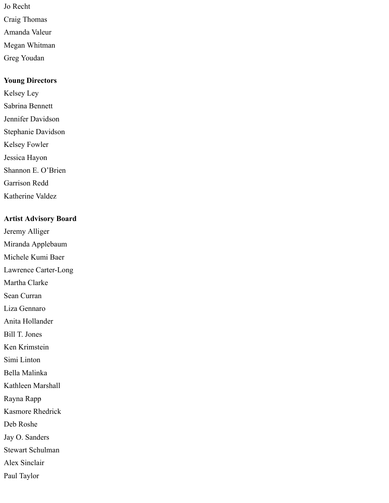- Jo Recht Craig Thomas Amanda Valeur Megan Whitman
- Greg Youdan

#### **Young Directors**

- Kelsey Ley
- Sabrina Bennett
- Jennifer Davidson
- Stephanie Davidson
- Kelsey Fowler
- Jessica Hayon
- Shannon E. O'Brien
- Garrison Redd
- Katherine Valdez

### **Artist Advisory Board**

- Jeremy Alliger
- Miranda Applebaum
- Michele Kumi Baer
- Lawrence Carter-Long
- Martha Clarke
- Sean Curran
- Liza Gennaro
- Anita Hollander
- Bill T. Jones
- Ken Krimstein
- Simi Linton
- Bella Malinka
- Kathleen Marshall
- Rayna Rapp
- Kasmore Rhedrick
- Deb Roshe
- Jay O. Sanders
- Stewart Schulman
- Alex Sinclair
- Paul Taylor